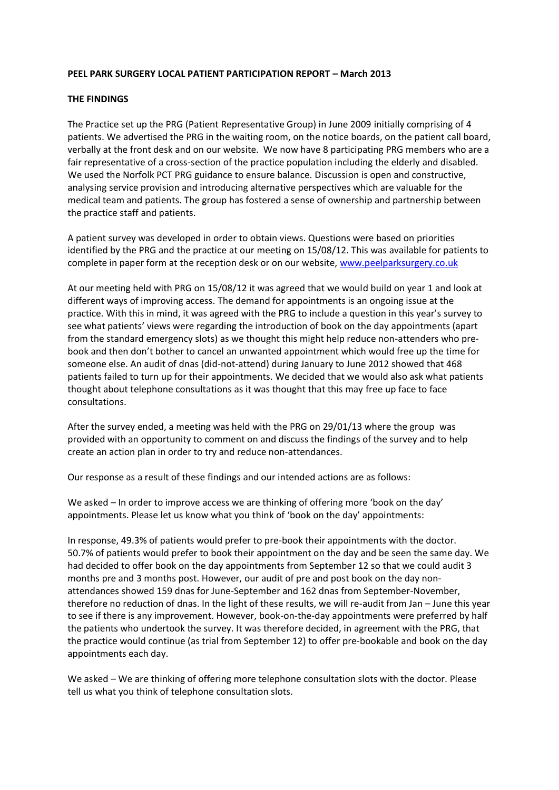## **PEEL PARK SURGERY LOCAL PATIENT PARTICIPATION REPORT – March 2013**

## **THE FINDINGS**

The Practice set up the PRG (Patient Representative Group) in June 2009 initially comprising of 4 patients. We advertised the PRG in the waiting room, on the notice boards, on the patient call board, verbally at the front desk and on our website. We now have 8 participating PRG members who are a fair representative of a cross-section of the practice population including the elderly and disabled. We used the Norfolk PCT PRG guidance to ensure balance. Discussion is open and constructive, analysing service provision and introducing alternative perspectives which are valuable for the medical team and patients. The group has fostered a sense of ownership and partnership between the practice staff and patients.

A patient survey was developed in order to obtain views. Questions were based on priorities identified by the PRG and the practice at our meeting on 15/08/12. This was available for patients to complete in paper form at the reception desk or on our website, [www.peelparksurgery.co.uk](http://www.peelparksurgery.co.uk/)

At our meeting held with PRG on 15/08/12 it was agreed that we would build on year 1 and look at different ways of improving access. The demand for appointments is an ongoing issue at the practice. With this in mind, it was agreed with the PRG to include a question in this year's survey to see what patients' views were regarding the introduction of book on the day appointments (apart from the standard emergency slots) as we thought this might help reduce non-attenders who prebook and then don't bother to cancel an unwanted appointment which would free up the time for someone else. An audit of dnas (did-not-attend) during January to June 2012 showed that 468 patients failed to turn up for their appointments. We decided that we would also ask what patients thought about telephone consultations as it was thought that this may free up face to face consultations.

After the survey ended, a meeting was held with the PRG on 29/01/13 where the group was provided with an opportunity to comment on and discuss the findings of the survey and to help create an action plan in order to try and reduce non-attendances.

Our response as a result of these findings and our intended actions are as follows:

We asked – In order to improve access we are thinking of offering more 'book on the day' appointments. Please let us know what you think of 'book on the day' appointments:

In response, 49.3% of patients would prefer to pre-book their appointments with the doctor. 50.7% of patients would prefer to book their appointment on the day and be seen the same day. We had decided to offer book on the day appointments from September 12 so that we could audit 3 months pre and 3 months post. However, our audit of pre and post book on the day nonattendances showed 159 dnas for June-September and 162 dnas from September-November, therefore no reduction of dnas. In the light of these results, we will re-audit from Jan – June this year to see if there is any improvement. However, book-on-the-day appointments were preferred by half the patients who undertook the survey. It was therefore decided, in agreement with the PRG, that the practice would continue (as trial from September 12) to offer pre-bookable and book on the day appointments each day.

We asked – We are thinking of offering more telephone consultation slots with the doctor. Please tell us what you think of telephone consultation slots.